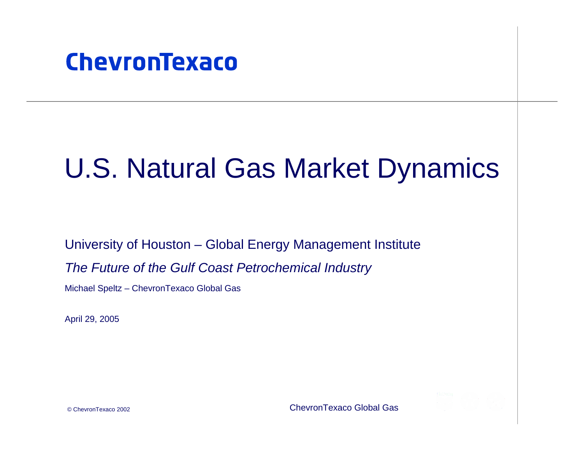

# U.S. Natural Gas Market Dynamics

University of Houston – Global Energy Management Institute

*The Future of the Gulf Coast Petrochemical Industry*

Michael Speltz – ChevronTexaco Global Gas

April 29, 2005

© ChevronTexaco 2002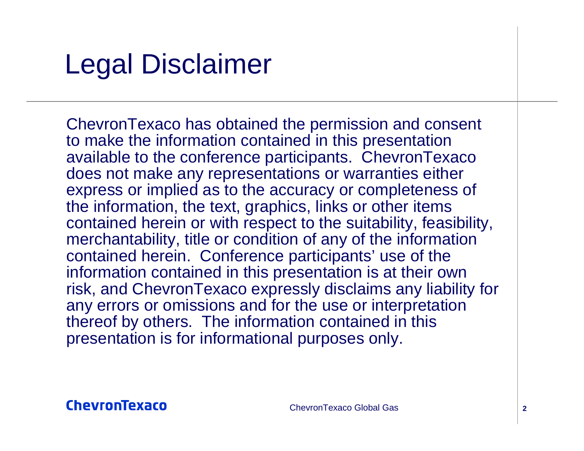# Legal Disclaimer

ChevronTexaco has obtained the permission and consent to make the information contained in this presentation available to the conference participants. ChevronTexaco does not make any representations or warranties either express or implied as to the accuracy or completeness of the information, the text, graphics, links or other items contained herein or with respect to the suitability, feasibility, merchantability, title or condition of any of the information contained herein. Conference participants' use of the information contained in this presentation is at their own risk, and ChevronTexaco expressly disclaims any liability for any errors or omissions and for the use or interpretation thereof by others. The information contained in this presentation is for informational purposes only.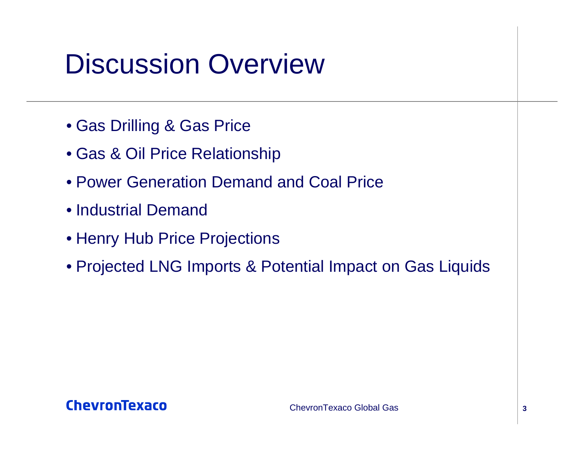# Discussion Overview

- Gas Drilling & Gas Price
- Gas & Oil Price Relationship
- Power Generation Demand and Coal Price
- Industrial Demand
- Henry Hub Price Projections
- Projected LNG Imports & Potential Impact on Gas Liquids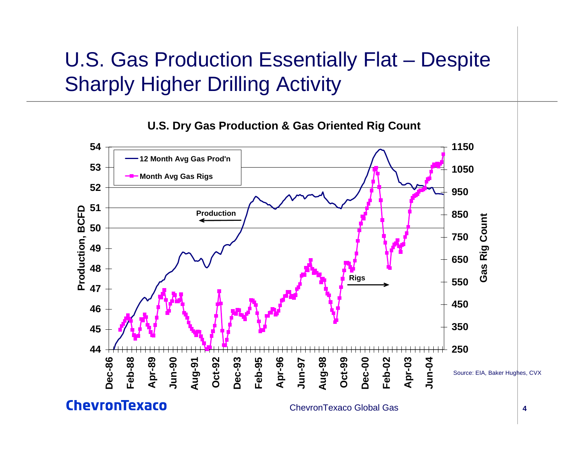## U.S. Gas Production Essentially Flat – Despite Sharply Higher Drilling Activity

**U.S. Dry Gas Production & Gas Oriented Rig Count**

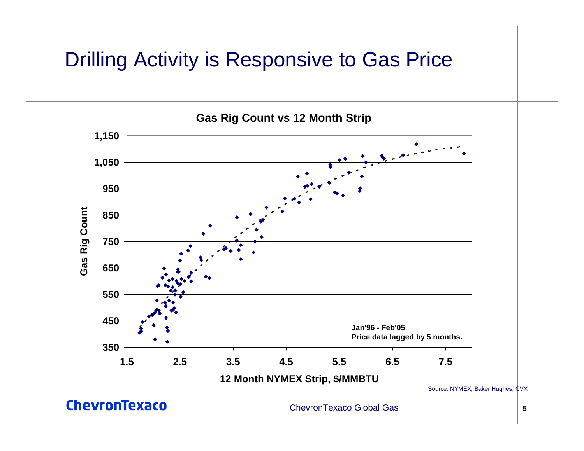### Drilling Activity is Responsive to Gas Price

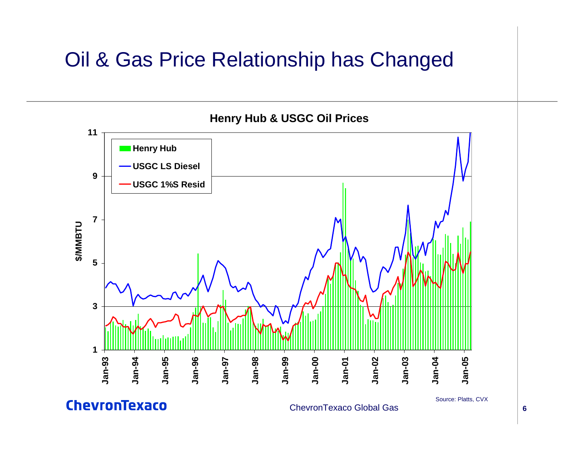### Oil & Gas Price Relationship has Changed



**ChevronTexaco**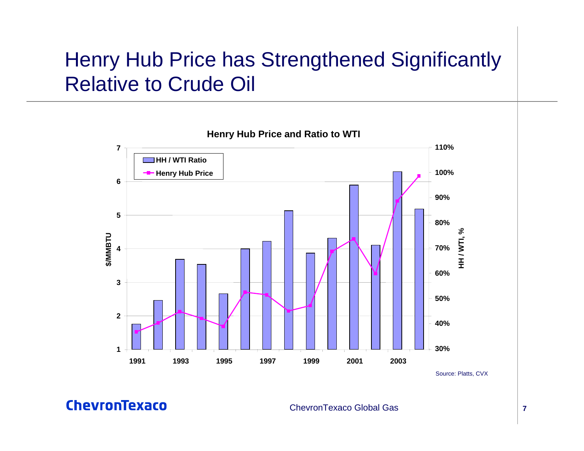### Henry Hub Price has Strengthened Significantly Relative to Crude Oil



Source: Platts, CVX

ChevronTexaco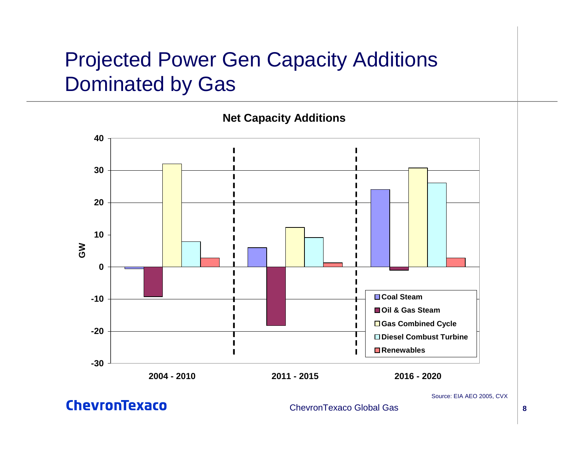## Projected Power Gen Capacity Additions Dominated by Gas



**ChevronTexaco** 

#### ChevronTexaco Global Gas

**8**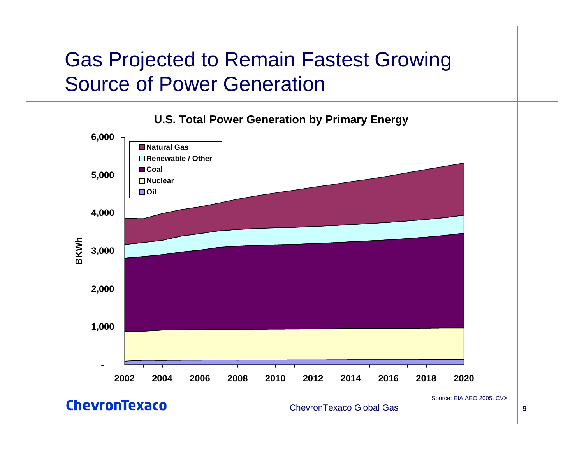### Gas Projected to Remain Fastest Growing Source of Power Generation



**U.S. Total Power Generation by Primary Energy**

ChevronTexaco

ChevronTexaco Global Gas

Source: EIA AEO 2005, CVX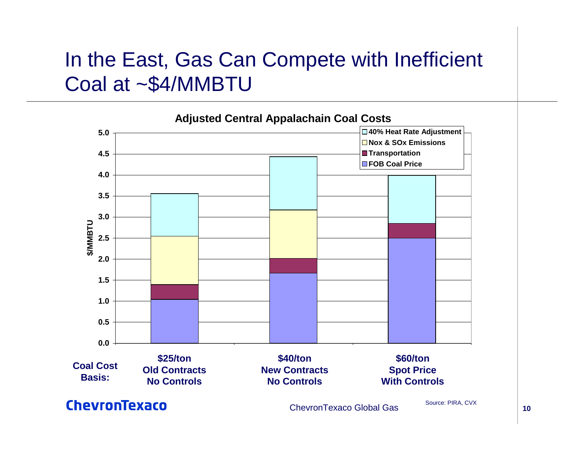### In the East, Gas Can Compete with Inefficient Coal at ~\$4/MMBTU



ChevronTexaco

ChevronTexaco Global Gas

 **10**Source: PIRA, CVX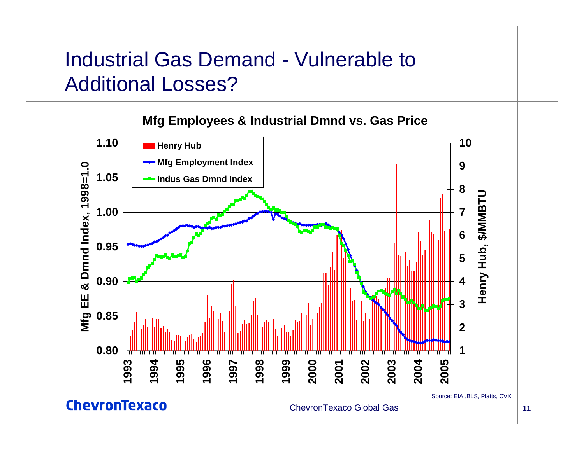### Industrial Gas Demand - Vulnerable to Additional Losses?



**ChevronTexaco**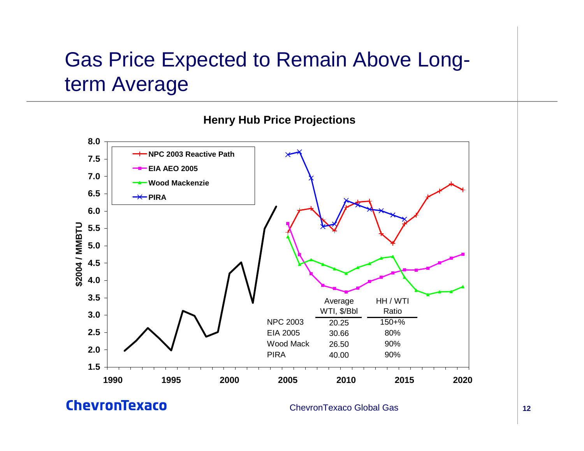## Gas Price Expected to Remain Above Longterm Average



#### **Henry Hub Price Projections**

**ChevronTexaco**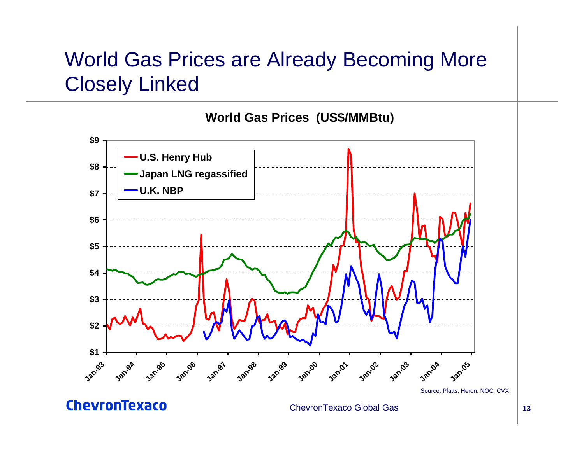## World Gas Prices are Already Becoming More Closely Linked



Source: Platts, Heron, NOC, CVX

**ChevronTexaco**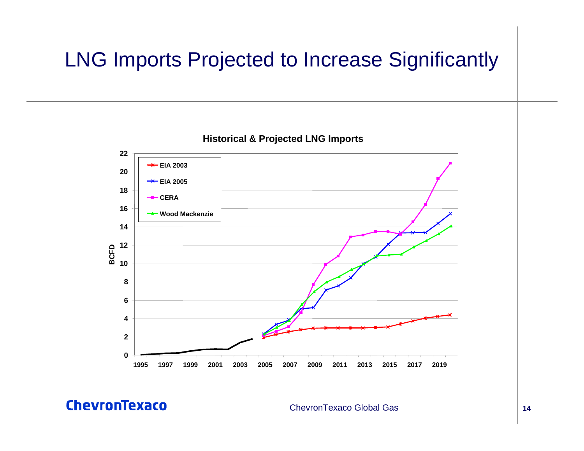## LNG Imports Projected to Increase Significantly



**Historical & Projected LNG Imports**

**ChevronTexaco**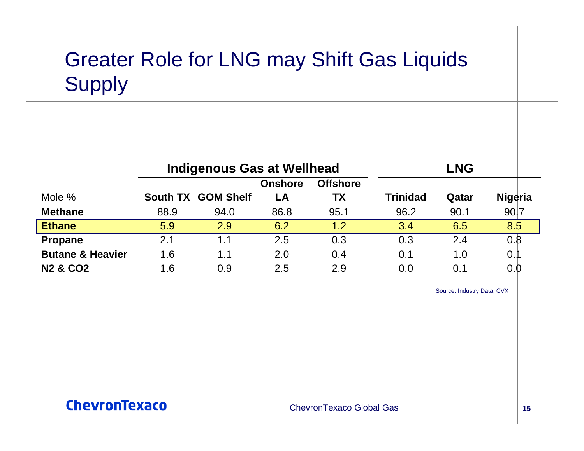## Greater Role for LNG may Shift Gas Liquids Supply

|                             | <b>Indigenous Gas at Wellhead</b> |                    |                |                 | <b>LNG</b>      |       |                |
|-----------------------------|-----------------------------------|--------------------|----------------|-----------------|-----------------|-------|----------------|
|                             |                                   |                    | <b>Onshore</b> | <b>Offshore</b> |                 |       |                |
| Mole %                      |                                   | South TX GOM Shelf | LA             | ТX              | <b>Trinidad</b> | Qatar | <b>Nigeria</b> |
| <b>Methane</b>              | 88.9                              | 94.0               | 86.8           | 95.1            | 96.2            | 90.1  | 90.7           |
| <b>Ethane</b>               | 5.9                               | 2.9                | 6.2            | 1.2             | 3.4             | 6.5   | 8.5            |
| <b>Propane</b>              | 2.1                               | 1.1                | 2.5            | 0.3             | 0.3             | 2.4   | 0.8            |
| <b>Butane &amp; Heavier</b> | 1.6                               | 1.1                | 2.0            | 0.4             | 0.1             | 1.0   | 0.1            |
| <b>N2 &amp; CO2</b>         | 1.6                               | 0.9                | 2.5            | 2.9             | 0.0             | 0.1   | 0.0            |

Source: Industry Data, CVX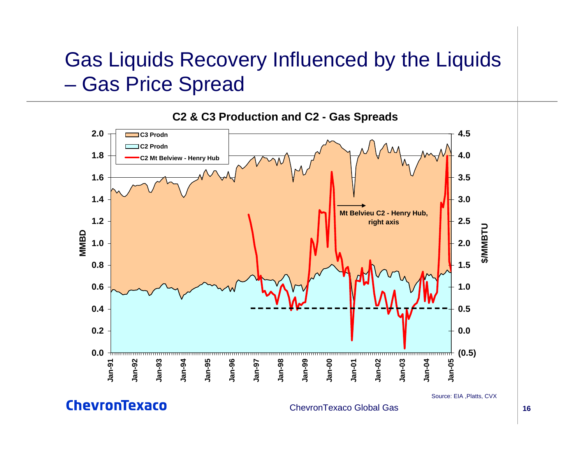### Gas Liquids Recovery Influenced by the Liquids  $\mathcal{L}_{\mathcal{A}}$ – Gas Price Spread



**ChevronTexaco**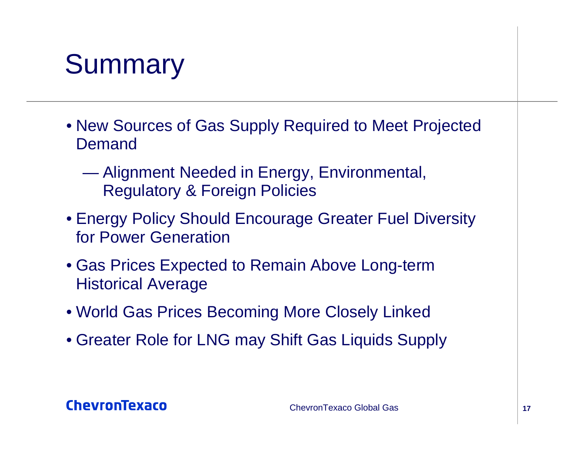# **Summary**

- New Sources of Gas Supply Required to Meet Projected Demand
	- $\mathcal{L}=\mathcal{L}^{\text{max}}$  Alignment Needed in Energy, Environmental, Regulatory & Foreign Policies
- Energy Policy Should Encourage Greater Fuel Diversity for Power Generation
- Gas Prices Expected to Remain Above Long-term Historical Average
- World Gas Prices Becoming More Closely Linked
- Greater Role for LNG may Shift Gas Liquids Supply